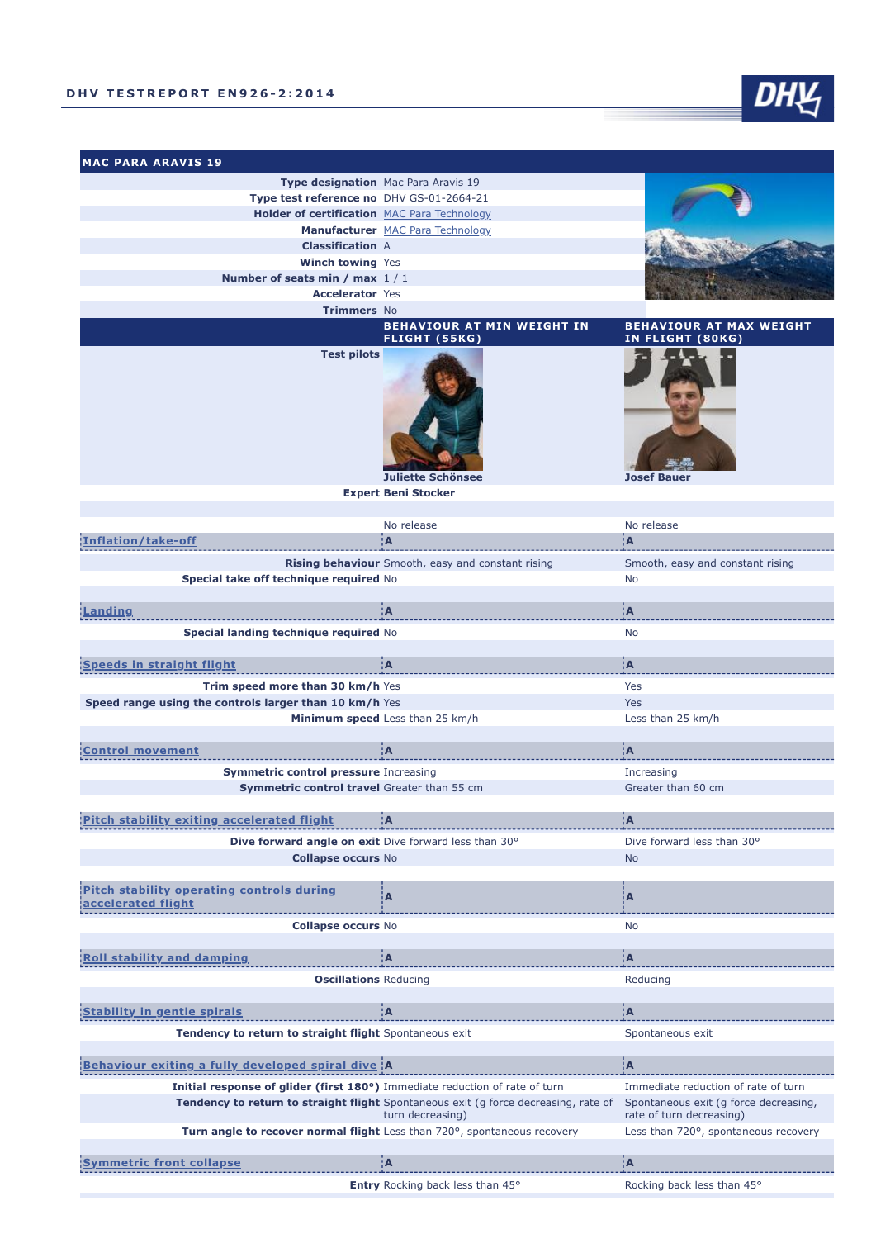**MAC PARA ARAVIS 19**



**Entry** Rocking back less than 45° Rocking back less than 45°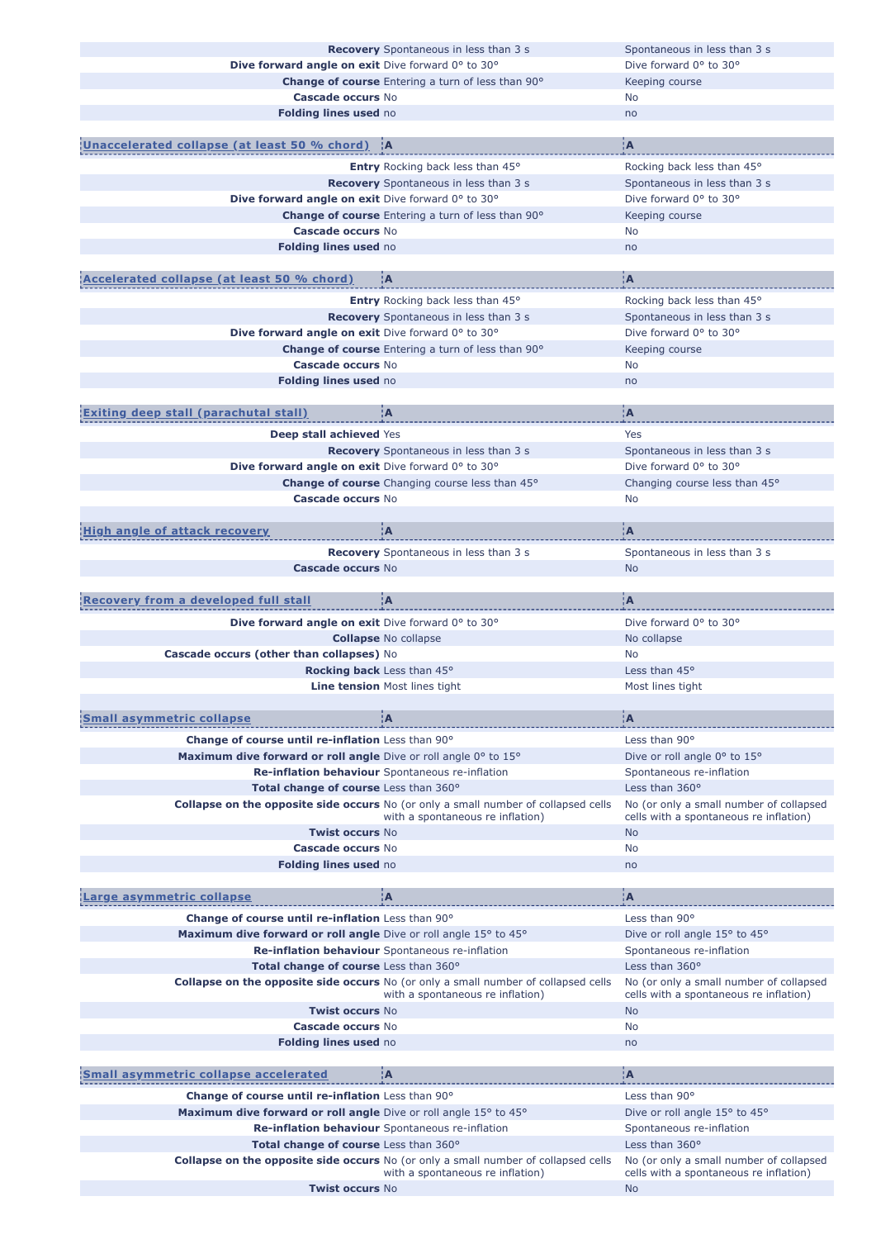|                                                                  | <b>Recovery</b> Spontaneous in less than 3 s                                                                                  | Spontaneous in less than 3 s                        |
|------------------------------------------------------------------|-------------------------------------------------------------------------------------------------------------------------------|-----------------------------------------------------|
| Dive forward angle on exit Dive forward 0° to 30°                |                                                                                                                               | Dive forward 0° to 30°                              |
|                                                                  |                                                                                                                               |                                                     |
|                                                                  | <b>Change of course</b> Entering a turn of less than 90°                                                                      | Keeping course                                      |
| Cascade occurs No                                                |                                                                                                                               | No                                                  |
| Folding lines used no                                            |                                                                                                                               | no                                                  |
|                                                                  |                                                                                                                               |                                                     |
| Unaccelerated collapse (at least 50 % chord)  A                  |                                                                                                                               | ÌА.                                                 |
|                                                                  |                                                                                                                               |                                                     |
|                                                                  | Entry Rocking back less than 45°                                                                                              | Rocking back less than 45°                          |
|                                                                  | <b>Recovery</b> Spontaneous in less than 3 s                                                                                  | Spontaneous in less than 3 s                        |
| Dive forward angle on exit Dive forward 0° to 30°                |                                                                                                                               | Dive forward 0° to 30°                              |
|                                                                  | <b>Change of course</b> Entering a turn of less than 90°                                                                      | Keeping course                                      |
| Cascade occurs No                                                |                                                                                                                               | No                                                  |
| Folding lines used no                                            |                                                                                                                               | no                                                  |
|                                                                  |                                                                                                                               |                                                     |
|                                                                  | ÌА.                                                                                                                           | įА,                                                 |
| Accelerated collapse (at least 50 % chord)                       |                                                                                                                               |                                                     |
|                                                                  | Entry Rocking back less than 45°                                                                                              | Rocking back less than 45°                          |
|                                                                  | <b>Recovery</b> Spontaneous in less than 3 s                                                                                  | Spontaneous in less than 3 s                        |
| Dive forward angle on exit Dive forward 0° to 30°                |                                                                                                                               | Dive forward 0° to 30°                              |
|                                                                  | Change of course Entering a turn of less than 90°                                                                             | Keeping course                                      |
|                                                                  |                                                                                                                               |                                                     |
| <b>Cascade occurs No</b>                                         |                                                                                                                               | No                                                  |
| Folding lines used no                                            |                                                                                                                               | no                                                  |
|                                                                  |                                                                                                                               |                                                     |
| <b>xiting deep stall (parachutal stall)</b>                      | ÌА                                                                                                                            | A¦                                                  |
|                                                                  |                                                                                                                               |                                                     |
| Deep stall achieved Yes                                          |                                                                                                                               | Yes                                                 |
|                                                                  | <b>Recovery</b> Spontaneous in less than 3 s                                                                                  | Spontaneous in less than 3 s                        |
| Dive forward angle on exit Dive forward 0° to 30°                |                                                                                                                               | Dive forward 0° to 30°                              |
|                                                                  | <b>Change of course</b> Changing course less than 45°                                                                         | Changing course less than 45°                       |
| Cascade occurs No                                                |                                                                                                                               | No                                                  |
|                                                                  |                                                                                                                               |                                                     |
| <b>High angle of attack recovery</b>                             | įΑ                                                                                                                            | įΑ                                                  |
|                                                                  |                                                                                                                               |                                                     |
|                                                                  | Recovery Spontaneous in less than 3 s                                                                                         | Spontaneous in less than 3 s                        |
| Cascade occurs No                                                |                                                                                                                               | <b>No</b>                                           |
|                                                                  |                                                                                                                               |                                                     |
| <b>Recovery from a developed full stall</b>                      | ¦A                                                                                                                            | ¦A                                                  |
|                                                                  |                                                                                                                               |                                                     |
| Dive forward angle on exit Dive forward 0° to 30°                |                                                                                                                               | Dive forward 0° to 30°                              |
|                                                                  | <b>Collapse No collapse</b>                                                                                                   | No collapse                                         |
|                                                                  |                                                                                                                               |                                                     |
|                                                                  |                                                                                                                               |                                                     |
| Cascade occurs (other than collapses) No                         |                                                                                                                               | <b>No</b>                                           |
|                                                                  | <b>Rocking back</b> Less than 45°                                                                                             | Less than 45°                                       |
|                                                                  | <b>Line tension Most lines tight</b>                                                                                          | Most lines tight                                    |
|                                                                  |                                                                                                                               |                                                     |
| <b>Small asymmetric collapse</b>                                 | ¦A                                                                                                                            | ¦A                                                  |
|                                                                  |                                                                                                                               |                                                     |
| Change of course until re-inflation Less than 90°                |                                                                                                                               | Less than 90°                                       |
| Maximum dive forward or roll angle Dive or roll angle 0° to 15°  |                                                                                                                               | Dive or roll angle 0° to 15°                        |
|                                                                  | Re-inflation behaviour Spontaneous re-inflation                                                                               | Spontaneous re-inflation                            |
| Total change of course Less than 360°                            |                                                                                                                               | Less than $360^\circ$                               |
|                                                                  | <b>Collapse on the opposite side occurs</b> No (or only a small number of collapsed cells                                     | No (or only a small number of collapsed             |
|                                                                  | with a spontaneous re inflation)                                                                                              | cells with a spontaneous re inflation)              |
| <b>Twist occurs No</b>                                           |                                                                                                                               | <b>No</b>                                           |
| <b>Cascade occurs No</b>                                         |                                                                                                                               | No                                                  |
| Folding lines used no                                            |                                                                                                                               | no                                                  |
|                                                                  |                                                                                                                               |                                                     |
|                                                                  |                                                                                                                               |                                                     |
| arge asymmetric collapse                                         | ¦A                                                                                                                            | ¦A                                                  |
| <b>Change of course until re-inflation</b> Less than 90°         |                                                                                                                               | Less than 90°                                       |
|                                                                  |                                                                                                                               |                                                     |
| Maximum dive forward or roll angle Dive or roll angle 15° to 45° |                                                                                                                               | Dive or roll angle 15° to 45°                       |
|                                                                  | Re-inflation behaviour Spontaneous re-inflation                                                                               | Spontaneous re-inflation                            |
| Total change of course Less than 360°                            |                                                                                                                               | Less than 360°                                      |
|                                                                  | Collapse on the opposite side occurs No (or only a small number of collapsed cells                                            | No (or only a small number of collapsed             |
|                                                                  | with a spontaneous re inflation)                                                                                              | cells with a spontaneous re inflation)              |
| <b>Twist occurs No</b>                                           |                                                                                                                               | <b>No</b>                                           |
| <b>Cascade occurs No</b>                                         |                                                                                                                               | No                                                  |
| Folding lines used no                                            |                                                                                                                               | no                                                  |
|                                                                  |                                                                                                                               |                                                     |
| <b>Small asymmetric collapse accelerated</b>                     | ¦A                                                                                                                            | ¦A                                                  |
|                                                                  |                                                                                                                               |                                                     |
| Change of course until re-inflation Less than 90°                |                                                                                                                               | Less than 90°                                       |
| Maximum dive forward or roll angle Dive or roll angle 15° to 45° |                                                                                                                               | Dive or roll angle 15° to 45°                       |
|                                                                  | Re-inflation behaviour Spontaneous re-inflation                                                                               | Spontaneous re-inflation                            |
| Total change of course Less than 360°                            |                                                                                                                               | Less than $360^\circ$                               |
|                                                                  |                                                                                                                               |                                                     |
|                                                                  | <b>Collapse on the opposite side occurs</b> No (or only a small number of collapsed cells<br>with a spontaneous re inflation) | No (or only a small number of collapsed             |
| <b>Twist occurs No</b>                                           |                                                                                                                               | cells with a spontaneous re inflation)<br><b>No</b> |
|                                                                  |                                                                                                                               |                                                     |